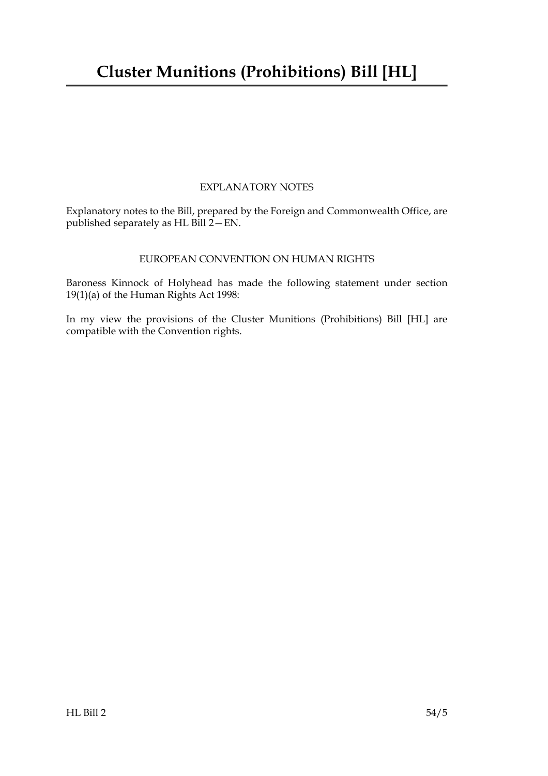#### EXPLANATORY NOTES

Explanatory notes to the Bill, prepared by the Foreign and Commonwealth Office, are published separately as HL Bill 2—EN.

#### EUROPEAN CONVENTION ON HUMAN RIGHTS

Baroness Kinnock of Holyhead has made the following statement under section 19(1)(a) of the Human Rights Act 1998:

In my view the provisions of the Cluster Munitions (Prohibitions) Bill [HL] are compatible with the Convention rights.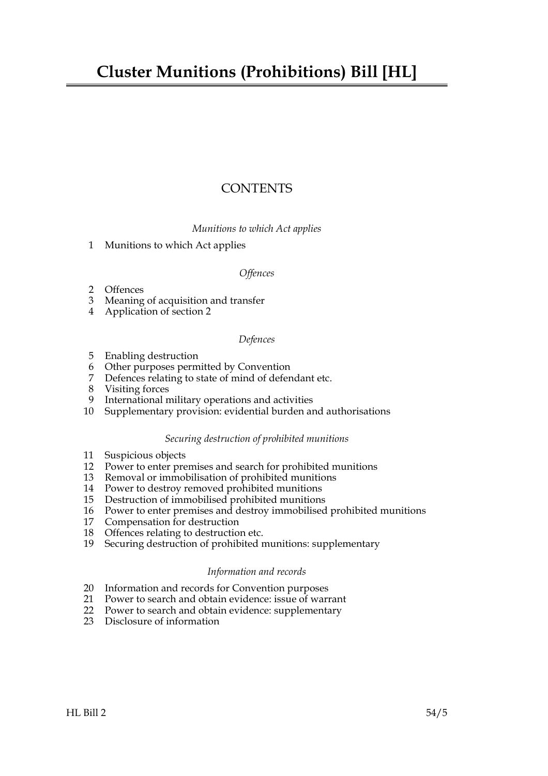### **Cluster Munitions (Prohibitions) Bill [HL]**

#### **CONTENTS**

*Munitions to which Act applies*

1 Munitions to which Act applies

#### *Offences*

- 2 Offences
- 3 Meaning of acquisition and transfer
- 4 Application of section 2

#### *Defences*

- 5 Enabling destruction
- 6 Other purposes permitted by Convention
- 7 Defences relating to state of mind of defendant etc.
- 8 Visiting forces
- 9 International military operations and activities
- 10 Supplementary provision: evidential burden and authorisations

#### *Securing destruction of prohibited munitions*

- 11 Suspicious objects
- 12 Power to enter premises and search for prohibited munitions
- 13 Removal or immobilisation of prohibited munitions
- 14 Power to destroy removed prohibited munitions
- 15 Destruction of immobilised prohibited munitions
- 16 Power to enter premises and destroy immobilised prohibited munitions
- 17 Compensation for destruction
- 18 Offences relating to destruction etc.
- 19 Securing destruction of prohibited munitions: supplementary

#### *Information and records*

- 20 Information and records for Convention purposes
- 21 Power to search and obtain evidence: issue of warrant
- 22 Power to search and obtain evidence: supplementary
- 23 Disclosure of information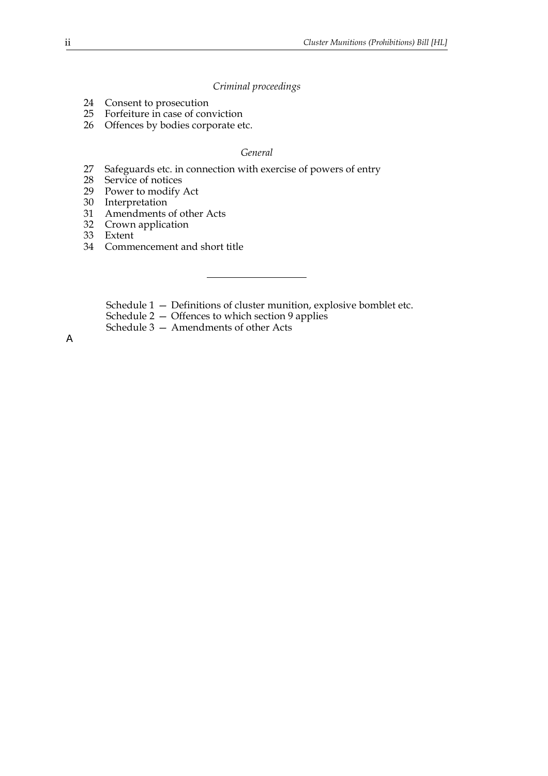#### *Criminal proceedings*

- 24 Consent to prosecution
- 25 Forfeiture in case of conviction
- 26 Offences by bodies corporate etc.

#### *General*

- 27 Safeguards etc. in connection with exercise of powers of entry
- 28 Service of notices
- 29 Power to modify Act
- 30 Interpretation<br>31 Amendments
- Amendments of other Acts
- 32 Crown application
- 33 Extent
- 34 Commencement and short title

Schedule 1 — Definitions of cluster munition, explosive bomblet etc.

Schedule 2 — Offences to which section 9 applies

Schedule 3 — Amendments of other Acts

A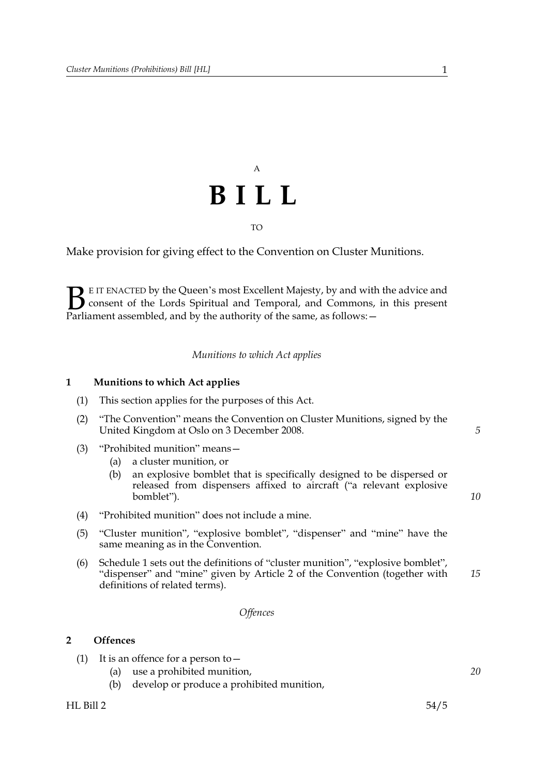# A **BILL**

#### TO

Make provision for giving effect to the Convention on Cluster Munitions.

E IT ENACTED by the Queen's most Excellent Majesty, by and with the advice and consent of the Lords Spiritual and Temporal, and Commons, in this present **B** E IT ENACTED by the Queen's most Excellent Majesty, by and with consent of the Lords Spiritual and Temporal, and Commons, Parliament assembled, and by the authority of the same, as follows:

#### *Munitions to which Act applies*

#### **1 Munitions to which Act applies**

- (1) This section applies for the purposes of this Act.
- (2) "The Convention" means the Convention on Cluster Munitions, signed by the United Kingdom at Oslo on 3 December 2008.
- (3) "Prohibited munition" means—
	- (a) a cluster munition, or
	- (b) an explosive bomblet that is specifically designed to be dispersed or released from dispensers affixed to aircraft ("a relevant explosive bomblet").
- (4) "Prohibited munition" does not include a mine.
- (5) "Cluster munition", "explosive bomblet", "dispenser" and "mine" have the same meaning as in the Convention.
- (6) Schedule 1 sets out the definitions of "cluster munition", "explosive bomblet", "dispenser" and "mine" given by Article 2 of the Convention (together with definitions of related terms).

#### *Offences*

#### **2 Offences**

- (1) It is an offence for a person to  $-$ 
	- (a) use a prohibited munition,
	- (b) develop or produce a prohibited munition,

*10*

*15*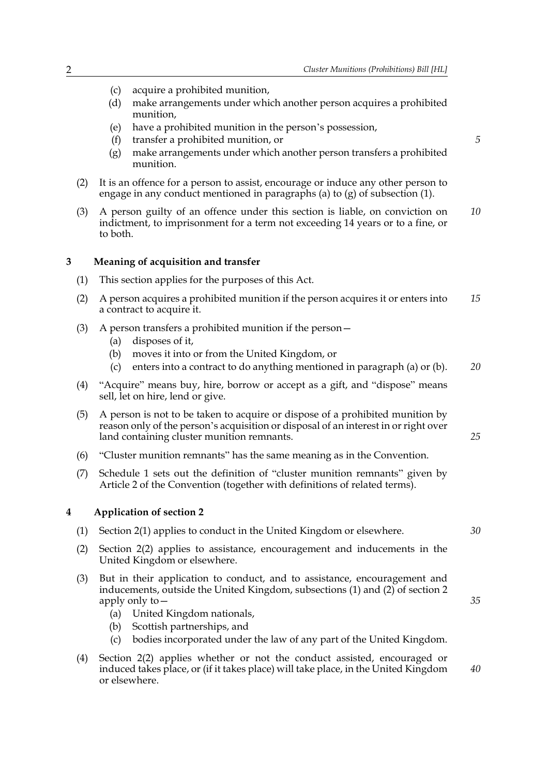- (c) acquire a prohibited munition,
- (d) make arrangements under which another person acquires a prohibited munition,
- (e) have a prohibited munition in the person's possession,
- (f) transfer a prohibited munition, or
- (g) make arrangements under which another person transfers a prohibited munition.
- (2) It is an offence for a person to assist, encourage or induce any other person to engage in any conduct mentioned in paragraphs (a) to (g) of subsection (1).
- (3) A person guilty of an offence under this section is liable, on conviction on indictment, to imprisonment for a term not exceeding 14 years or to a fine, or to both. *10*

#### **3 Meaning of acquisition and transfer**

- (1) This section applies for the purposes of this Act.
- (2) A person acquires a prohibited munition if the person acquires it or enters into a contract to acquire it. *15*
- (3) A person transfers a prohibited munition if the person—
	- (a) disposes of it,
	- (b) moves it into or from the United Kingdom, or
	- (c) enters into a contract to do anything mentioned in paragraph (a) or (b). *20*
- (4) "Acquire" means buy, hire, borrow or accept as a gift, and "dispose" means sell, let on hire, lend or give.
- (5) A person is not to be taken to acquire or dispose of a prohibited munition by reason only of the person's acquisition or disposal of an interest in or right over land containing cluster munition remnants.
- (6) "Cluster munition remnants" has the same meaning as in the Convention.
- (7) Schedule 1 sets out the definition of "cluster munition remnants" given by Article 2 of the Convention (together with definitions of related terms).

#### **4 Application of section 2**

- (1) Section 2(1) applies to conduct in the United Kingdom or elsewhere.
- (2) Section 2(2) applies to assistance, encouragement and inducements in the United Kingdom or elsewhere.
- (3) But in their application to conduct, and to assistance, encouragement and inducements, outside the United Kingdom, subsections (1) and (2) of section 2 apply only to—
	- (a) United Kingdom nationals,
	- (b) Scottish partnerships, and
	- (c) bodies incorporated under the law of any part of the United Kingdom.
- (4) Section 2(2) applies whether or not the conduct assisted, encouraged or induced takes place, or (if it takes place) will take place, in the United Kingdom or elsewhere.

*30*

*25*

*5*

*35*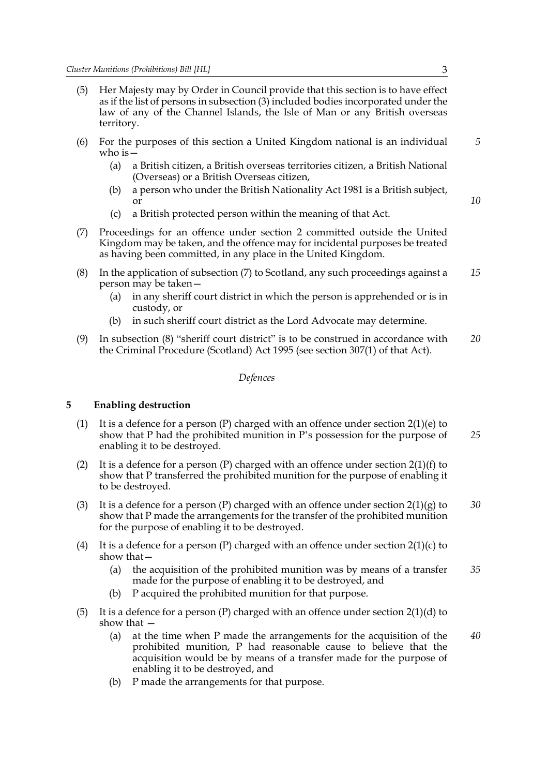- (5) Her Majesty may by Order in Council provide that this section is to have effect as if the list of persons in subsection (3) included bodies incorporated under the law of any of the Channel Islands, the Isle of Man or any British overseas territory.
- (6) For the purposes of this section a United Kingdom national is an individual who is  $-$ 
	- (a) a British citizen, a British overseas territories citizen, a British National (Overseas) or a British Overseas citizen,
	- (b) a person who under the British Nationality Act 1981 is a British subject, or
	- (c) a British protected person within the meaning of that Act.
- (7) Proceedings for an offence under section 2 committed outside the United Kingdom may be taken, and the offence may for incidental purposes be treated as having been committed, in any place in the United Kingdom.
- (8) In the application of subsection (7) to Scotland, any such proceedings against a person may be taken— *15*
	- (a) in any sheriff court district in which the person is apprehended or is in custody, or
	- (b) in such sheriff court district as the Lord Advocate may determine.
- (9) In subsection (8) "sheriff court district" is to be construed in accordance with the Criminal Procedure (Scotland) Act 1995 (see section 307(1) of that Act). *20*

#### *Defences*

#### **5 Enabling destruction**

- (1) It is a defence for a person  $(P)$  charged with an offence under section  $2(1)(e)$  to show that P had the prohibited munition in P's possession for the purpose of enabling it to be destroyed. *25*
- (2) It is a defence for a person (P) charged with an offence under section  $2(1)(f)$  to show that P transferred the prohibited munition for the purpose of enabling it to be destroyed.
- (3) It is a defence for a person (P) charged with an offence under section  $2(1)(g)$  to show that P made the arrangements for the transfer of the prohibited munition for the purpose of enabling it to be destroyed. *30*
- (4) It is a defence for a person  $(P)$  charged with an offence under section  $2(1)(c)$  to show that—
	- (a) the acquisition of the prohibited munition was by means of a transfer made for the purpose of enabling it to be destroyed, and *35*
	- (b) P acquired the prohibited munition for that purpose.
- (5) It is a defence for a person (P) charged with an offence under section  $2(1)(d)$  to show that —
	- (a) at the time when P made the arrangements for the acquisition of the prohibited munition, P had reasonable cause to believe that the acquisition would be by means of a transfer made for the purpose of enabling it to be destroyed, and *40*
	- (b) P made the arrangements for that purpose.

*5*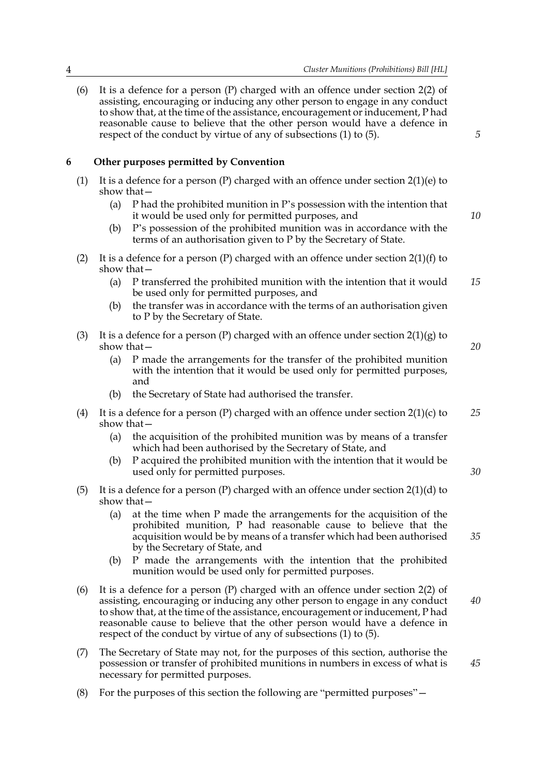(6) It is a defence for a person (P) charged with an offence under section 2(2) of assisting, encouraging or inducing any other person to engage in any conduct to show that, at the time of the assistance, encouragement or inducement, P had reasonable cause to believe that the other person would have a defence in respect of the conduct by virtue of any of subsections (1) to (5).

#### **6 Other purposes permitted by Convention**

- (1) It is a defence for a person  $(P)$  charged with an offence under section  $2(1)(e)$  to show that—
	- (a) P had the prohibited munition in P's possession with the intention that it would be used only for permitted purposes, and
	- (b) P's possession of the prohibited munition was in accordance with the terms of an authorisation given to P by the Secretary of State.
- (2) It is a defence for a person  $(P)$  charged with an offence under section  $2(1)(f)$  to show that—
	- (a) P transferred the prohibited munition with the intention that it would be used only for permitted purposes, and *15*
	- (b) the transfer was in accordance with the terms of an authorisation given to P by the Secretary of State.
- (3) It is a defence for a person (P) charged with an offence under section  $2(1)(g)$  to show that—
	- (a) P made the arrangements for the transfer of the prohibited munition with the intention that it would be used only for permitted purposes, and
	- (b) the Secretary of State had authorised the transfer.
- (4) It is a defence for a person (P) charged with an offence under section  $2(1)(c)$  to show that— *25*
	- (a) the acquisition of the prohibited munition was by means of a transfer which had been authorised by the Secretary of State, and
	- (b) P acquired the prohibited munition with the intention that it would be used only for permitted purposes.
- (5) It is a defence for a person (P) charged with an offence under section 2(1)(d) to show that—
	- (a) at the time when P made the arrangements for the acquisition of the prohibited munition, P had reasonable cause to believe that the acquisition would be by means of a transfer which had been authorised by the Secretary of State, and *35*
	- (b) P made the arrangements with the intention that the prohibited munition would be used only for permitted purposes.
- (6) It is a defence for a person (P) charged with an offence under section 2(2) of assisting, encouraging or inducing any other person to engage in any conduct to show that, at the time of the assistance, encouragement or inducement, P had reasonable cause to believe that the other person would have a defence in respect of the conduct by virtue of any of subsections (1) to (5). *40*
- (7) The Secretary of State may not, for the purposes of this section, authorise the possession or transfer of prohibited munitions in numbers in excess of what is necessary for permitted purposes.
- (8) For the purposes of this section the following are "permitted purposes"—

*10*

*20*

*5*

*30*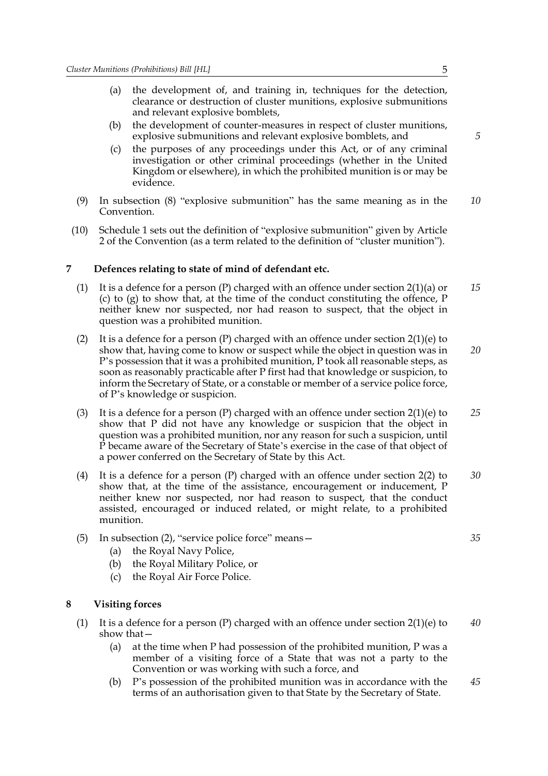- (a) the development of, and training in, techniques for the detection, clearance or destruction of cluster munitions, explosive submunitions and relevant explosive bomblets,
- (b) the development of counter-measures in respect of cluster munitions, explosive submunitions and relevant explosive bomblets, and
- (c) the purposes of any proceedings under this Act, or of any criminal investigation or other criminal proceedings (whether in the United Kingdom or elsewhere), in which the prohibited munition is or may be evidence.
- (9) In subsection (8) "explosive submunition" has the same meaning as in the Convention. *10*
- (10) Schedule 1 sets out the definition of "explosive submunition" given by Article 2 of the Convention (as a term related to the definition of "cluster munition").

#### **7 Defences relating to state of mind of defendant etc.**

- (1) It is a defence for a person (P) charged with an offence under section  $2(1)(a)$  or (c) to  $(g)$  to show that, at the time of the conduct constituting the offence, P neither knew nor suspected, nor had reason to suspect, that the object in question was a prohibited munition. *15*
- (2) It is a defence for a person  $(P)$  charged with an offence under section  $2(1)(e)$  to show that, having come to know or suspect while the object in question was in P's possession that it was a prohibited munition, P took all reasonable steps, as soon as reasonably practicable after P first had that knowledge or suspicion, to inform the Secretary of State, or a constable or member of a service police force, of P's knowledge or suspicion. *20*
- (3) It is a defence for a person  $(P)$  charged with an offence under section  $2(1)(e)$  to show that P did not have any knowledge or suspicion that the object in question was a prohibited munition, nor any reason for such a suspicion, until P became aware of the Secretary of State's exercise in the case of that object of a power conferred on the Secretary of State by this Act. *25*
- (4) It is a defence for a person (P) charged with an offence under section 2(2) to show that, at the time of the assistance, encouragement or inducement, P neither knew nor suspected, nor had reason to suspect, that the conduct assisted, encouraged or induced related, or might relate, to a prohibited munition. *30*
- (5) In subsection (2), "service police force" means—
	- (a) the Royal Navy Police,
	- (b) the Royal Military Police, or
	- (c) the Royal Air Force Police.

#### **8 Visiting forces**

- (1) It is a defence for a person  $(P)$  charged with an offence under section  $2(1)(e)$  to show that— *40*
	- (a) at the time when P had possession of the prohibited munition, P was a member of a visiting force of a State that was not a party to the Convention or was working with such a force, and
	- (b) P's possession of the prohibited munition was in accordance with the terms of an authorisation given to that State by the Secretary of State. *45*

*5*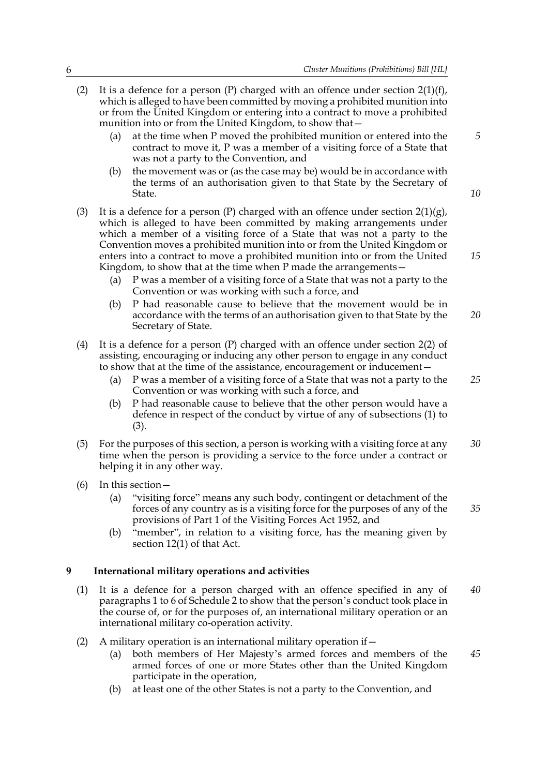- (2) It is a defence for a person (P) charged with an offence under section 2(1)(f), which is alleged to have been committed by moving a prohibited munition into or from the United Kingdom or entering into a contract to move a prohibited munition into or from the United Kingdom, to show that—
	- (a) at the time when P moved the prohibited munition or entered into the contract to move it, P was a member of a visiting force of a State that was not a party to the Convention, and
	- (b) the movement was or (as the case may be) would be in accordance with the terms of an authorisation given to that State by the Secretary of State.
- (3) It is a defence for a person (P) charged with an offence under section  $2(1)(g)$ , which is alleged to have been committed by making arrangements under which a member of a visiting force of a State that was not a party to the Convention moves a prohibited munition into or from the United Kingdom or enters into a contract to move a prohibited munition into or from the United Kingdom, to show that at the time when P made the arrangements—
	- (a) P was a member of a visiting force of a State that was not a party to the Convention or was working with such a force, and
	- (b) P had reasonable cause to believe that the movement would be in accordance with the terms of an authorisation given to that State by the Secretary of State. *20*
- (4) It is a defence for a person (P) charged with an offence under section 2(2) of assisting, encouraging or inducing any other person to engage in any conduct to show that at the time of the assistance, encouragement or inducement—
	- (a) P was a member of a visiting force of a State that was not a party to the Convention or was working with such a force, and *25*
	- (b) P had reasonable cause to believe that the other person would have a defence in respect of the conduct by virtue of any of subsections (1) to (3).
- (5) For the purposes of this section, a person is working with a visiting force at any time when the person is providing a service to the force under a contract or helping it in any other way. *30*
- (6) In this section—
	- (a) "visiting force" means any such body, contingent or detachment of the forces of any country as is a visiting force for the purposes of any of the provisions of Part 1 of the Visiting Forces Act 1952, and
	- (b) "member", in relation to a visiting force, has the meaning given by section 12(1) of that Act.

#### **9 International military operations and activities**

- (1) It is a defence for a person charged with an offence specified in any of paragraphs 1 to 6 of Schedule 2 to show that the person's conduct took place in the course of, or for the purposes of, an international military operation or an international military co-operation activity. *40*
- (2) A military operation is an international military operation if  $-$ 
	- (a) both members of Her Majesty's armed forces and members of the armed forces of one or more States other than the United Kingdom participate in the operation, *45*
	- (b) at least one of the other States is not a party to the Convention, and

*15*

*35*

*5*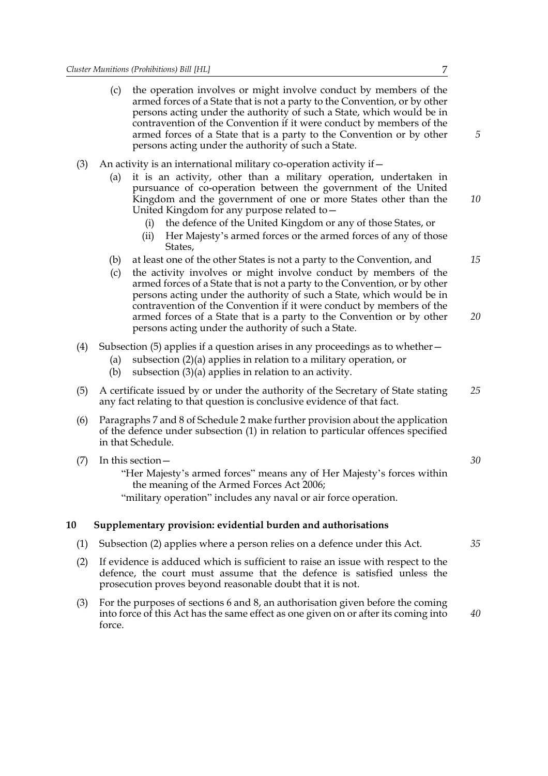- (c) the operation involves or might involve conduct by members of the armed forces of a State that is not a party to the Convention, or by other persons acting under the authority of such a State, which would be in contravention of the Convention if it were conduct by members of the armed forces of a State that is a party to the Convention or by other persons acting under the authority of such a State.
- (3) An activity is an international military co-operation activity if  $-$ 
	- (a) it is an activity, other than a military operation, undertaken in pursuance of co-operation between the government of the United Kingdom and the government of one or more States other than the United Kingdom for any purpose related to— *10*
		- (i) the defence of the United Kingdom or any of those States, or
		- (ii) Her Majesty's armed forces or the armed forces of any of those States,
	- (b) at least one of the other States is not a party to the Convention, and
	- (c) the activity involves or might involve conduct by members of the armed forces of a State that is not a party to the Convention, or by other persons acting under the authority of such a State, which would be in contravention of the Convention if it were conduct by members of the armed forces of a State that is a party to the Convention or by other persons acting under the authority of such a State. *20*
- (4) Subsection (5) applies if a question arises in any proceedings as to whether—
	- (a) subsection (2)(a) applies in relation to a military operation, or
	- (b) subsection (3)(a) applies in relation to an activity.
- (5) A certificate issued by or under the authority of the Secretary of State stating any fact relating to that question is conclusive evidence of that fact. *25*
- (6) Paragraphs 7 and 8 of Schedule 2 make further provision about the application of the defence under subsection (1) in relation to particular offences specified in that Schedule.
- (7) In this section— "Her Majesty's armed forces" means any of Her Majesty's forces within the meaning of the Armed Forces Act 2006; "military operation" includes any naval or air force operation. *30*

#### **10 Supplementary provision: evidential burden and authorisations**

- (1) Subsection (2) applies where a person relies on a defence under this Act.
- (2) If evidence is adduced which is sufficient to raise an issue with respect to the defence, the court must assume that the defence is satisfied unless the prosecution proves beyond reasonable doubt that it is not.
- (3) For the purposes of sections 6 and 8, an authorisation given before the coming into force of this Act has the same effect as one given on or after its coming into force. *40*

*5*

*15*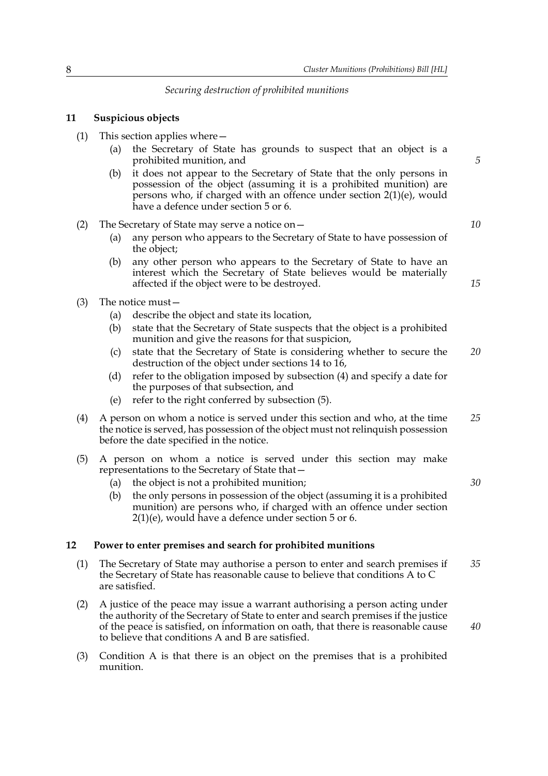*Securing destruction of prohibited munitions*

#### **11 Suspicious objects**

- (1) This section applies where—
	- (a) the Secretary of State has grounds to suspect that an object is a prohibited munition, and
	- (b) it does not appear to the Secretary of State that the only persons in possession of the object (assuming it is a prohibited munition) are persons who, if charged with an offence under section 2(1)(e), would have a defence under section 5 or 6.
- (2) The Secretary of State may serve a notice on—
	- (a) any person who appears to the Secretary of State to have possession of the object;
	- (b) any other person who appears to the Secretary of State to have an interest which the Secretary of State believes would be materially affected if the object were to be destroyed.
- (3) The notice must—
	- (a) describe the object and state its location,
	- (b) state that the Secretary of State suspects that the object is a prohibited munition and give the reasons for that suspicion,
	- (c) state that the Secretary of State is considering whether to secure the destruction of the object under sections 14 to 16, *20*
	- (d) refer to the obligation imposed by subsection (4) and specify a date for the purposes of that subsection, and
	- (e) refer to the right conferred by subsection (5).
- (4) A person on whom a notice is served under this section and who, at the time the notice is served, has possession of the object must not relinquish possession before the date specified in the notice. *25*
- (5) A person on whom a notice is served under this section may make representations to the Secretary of State that—
	- (a) the object is not a prohibited munition;
	- (b) the only persons in possession of the object (assuming it is a prohibited munition) are persons who, if charged with an offence under section  $2(1)(e)$ , would have a defence under section 5 or 6.

#### **12 Power to enter premises and search for prohibited munitions**

- (1) The Secretary of State may authorise a person to enter and search premises if the Secretary of State has reasonable cause to believe that conditions A to C are satisfied. *35*
- (2) A justice of the peace may issue a warrant authorising a person acting under the authority of the Secretary of State to enter and search premises if the justice of the peace is satisfied, on information on oath, that there is reasonable cause to believe that conditions A and B are satisfied.
- (3) Condition A is that there is an object on the premises that is a prohibited munition.

*10*

*5*

*15*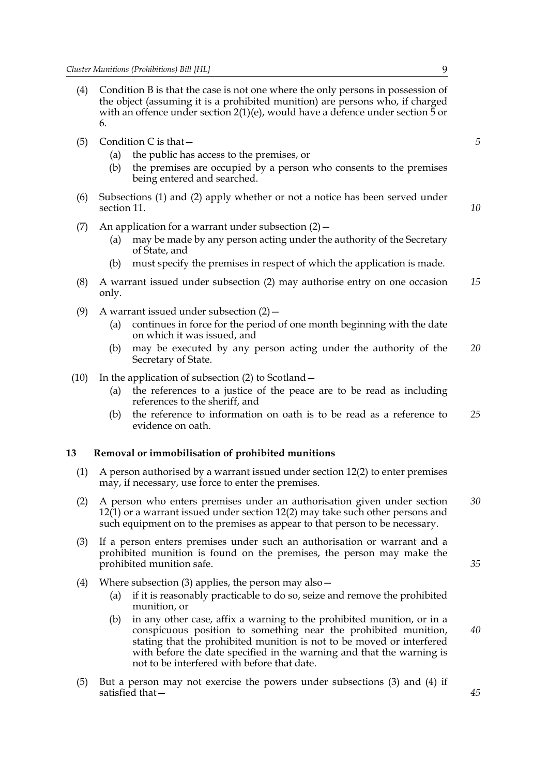- (4) Condition B is that the case is not one where the only persons in possession of the object (assuming it is a prohibited munition) are persons who, if charged with an offence under section 2(1)(e), would have a defence under section  $\frac{3}{5}$  or 6.
- (5) Condition C is that—
	- (a) the public has access to the premises, or
	- (b) the premises are occupied by a person who consents to the premises being entered and searched.
- (6) Subsections (1) and (2) apply whether or not a notice has been served under section 11.
- (7) An application for a warrant under subsection  $(2)$  -
	- (a) may be made by any person acting under the authority of the Secretary of State, and
	- (b) must specify the premises in respect of which the application is made.
- (8) A warrant issued under subsection (2) may authorise entry on one occasion only. *15*
- (9) A warrant issued under subsection  $(2)$  -
	- (a) continues in force for the period of one month beginning with the date on which it was issued, and
	- (b) may be executed by any person acting under the authority of the Secretary of State. *20*
- (10) In the application of subsection (2) to Scotland—
	- (a) the references to a justice of the peace are to be read as including references to the sheriff, and
	- (b) the reference to information on oath is to be read as a reference to evidence on oath. *25*

#### **13 Removal or immobilisation of prohibited munitions**

- (1) A person authorised by a warrant issued under section  $12(2)$  to enter premises may, if necessary, use force to enter the premises.
- (2) A person who enters premises under an authorisation given under section 12(1) or a warrant issued under section 12(2) may take such other persons and such equipment on to the premises as appear to that person to be necessary. *30*
- (3) If a person enters premises under such an authorisation or warrant and a prohibited munition is found on the premises, the person may make the prohibited munition safe.
- (4) Where subsection (3) applies, the person may also—
	- (a) if it is reasonably practicable to do so, seize and remove the prohibited munition, or
	- (b) in any other case, affix a warning to the prohibited munition, or in a conspicuous position to something near the prohibited munition, stating that the prohibited munition is not to be moved or interfered with before the date specified in the warning and that the warning is not to be interfered with before that date.
- (5) But a person may not exercise the powers under subsections (3) and (4) if satisfied that—

*5*

*10*

*40*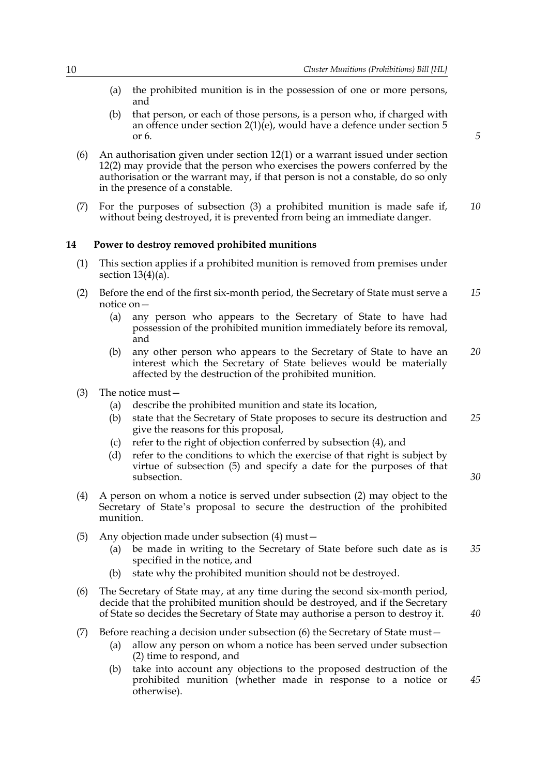- (a) the prohibited munition is in the possession of one or more persons, and
- (b) that person, or each of those persons, is a person who, if charged with an offence under section 2(1)(e), would have a defence under section 5 or 6.
- (6) An authorisation given under section 12(1) or a warrant issued under section 12(2) may provide that the person who exercises the powers conferred by the authorisation or the warrant may, if that person is not a constable, do so only in the presence of a constable.
- (7) For the purposes of subsection (3) a prohibited munition is made safe if, without being destroyed, it is prevented from being an immediate danger. *10*

#### **14 Power to destroy removed prohibited munitions**

- (1) This section applies if a prohibited munition is removed from premises under section  $13(4)(a)$ .
- (2) Before the end of the first six-month period, the Secretary of State must serve a notice on— *15*
	- (a) any person who appears to the Secretary of State to have had possession of the prohibited munition immediately before its removal, and
	- (b) any other person who appears to the Secretary of State to have an interest which the Secretary of State believes would be materially affected by the destruction of the prohibited munition. *20*
- (3) The notice must—
	- (a) describe the prohibited munition and state its location,
	- (b) state that the Secretary of State proposes to secure its destruction and give the reasons for this proposal, *25*
	- (c) refer to the right of objection conferred by subsection (4), and
	- (d) refer to the conditions to which the exercise of that right is subject by virtue of subsection (5) and specify a date for the purposes of that subsection.
- (4) A person on whom a notice is served under subsection (2) may object to the Secretary of State's proposal to secure the destruction of the prohibited munition.
- (5) Any objection made under subsection (4) must—
	- (a) be made in writing to the Secretary of State before such date as is specified in the notice, and *35*
	- (b) state why the prohibited munition should not be destroyed.
- (6) The Secretary of State may, at any time during the second six-month period, decide that the prohibited munition should be destroyed, and if the Secretary of State so decides the Secretary of State may authorise a person to destroy it.
- (7) Before reaching a decision under subsection (6) the Secretary of State must—
	- (a) allow any person on whom a notice has been served under subsection (2) time to respond, and
	- (b) take into account any objections to the proposed destruction of the prohibited munition (whether made in response to a notice or otherwise).

*5*

*30*

*40*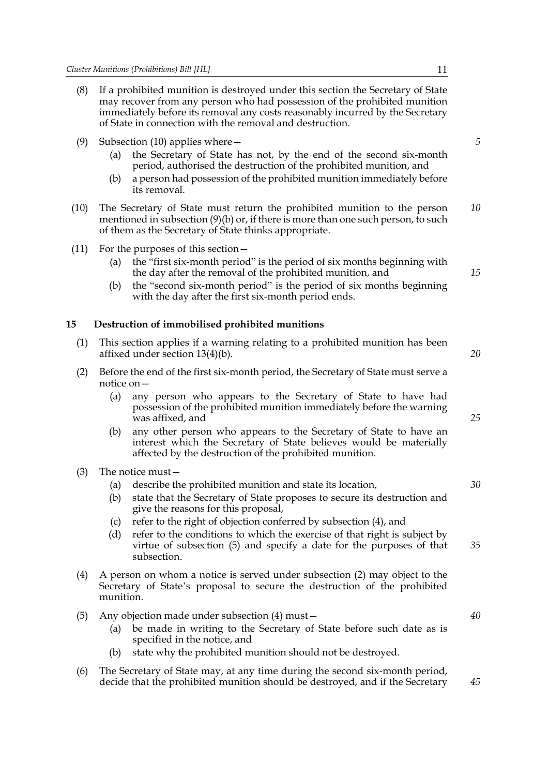- (8) If a prohibited munition is destroyed under this section the Secretary of State may recover from any person who had possession of the prohibited munition immediately before its removal any costs reasonably incurred by the Secretary of State in connection with the removal and destruction.
- (9) Subsection (10) applies where—
	- (a) the Secretary of State has not, by the end of the second six-month period, authorised the destruction of the prohibited munition, and
	- (b) a person had possession of the prohibited munition immediately before its removal.
- (10) The Secretary of State must return the prohibited munition to the person mentioned in subsection (9)(b) or, if there is more than one such person, to such of them as the Secretary of State thinks appropriate. *10*
- (11) For the purposes of this section—
	- (a) the "first six-month period" is the period of six months beginning with the day after the removal of the prohibited munition, and
	- (b) the "second six-month period" is the period of six months beginning with the day after the first six-month period ends.

#### **15 Destruction of immobilised prohibited munitions**

- (1) This section applies if a warning relating to a prohibited munition has been affixed under section 13(4)(b).
- (2) Before the end of the first six-month period, the Secretary of State must serve a notice on—
	- (a) any person who appears to the Secretary of State to have had possession of the prohibited munition immediately before the warning was affixed, and
	- (b) any other person who appears to the Secretary of State to have an interest which the Secretary of State believes would be materially affected by the destruction of the prohibited munition.
- (3) The notice must—
	- (a) describe the prohibited munition and state its location,
	- (b) state that the Secretary of State proposes to secure its destruction and give the reasons for this proposal,
	- (c) refer to the right of objection conferred by subsection (4), and
	- (d) refer to the conditions to which the exercise of that right is subject by virtue of subsection (5) and specify a date for the purposes of that subsection. *35*
- (4) A person on whom a notice is served under subsection (2) may object to the Secretary of State's proposal to secure the destruction of the prohibited munition.
- (5) Any objection made under subsection (4) must—
	- (a) be made in writing to the Secretary of State before such date as is specified in the notice, and
	- (b) state why the prohibited munition should not be destroyed.
- (6) The Secretary of State may, at any time during the second six-month period, decide that the prohibited munition should be destroyed, and if the Secretary

*5*

*20*

*15*

*25*

*30*

*40*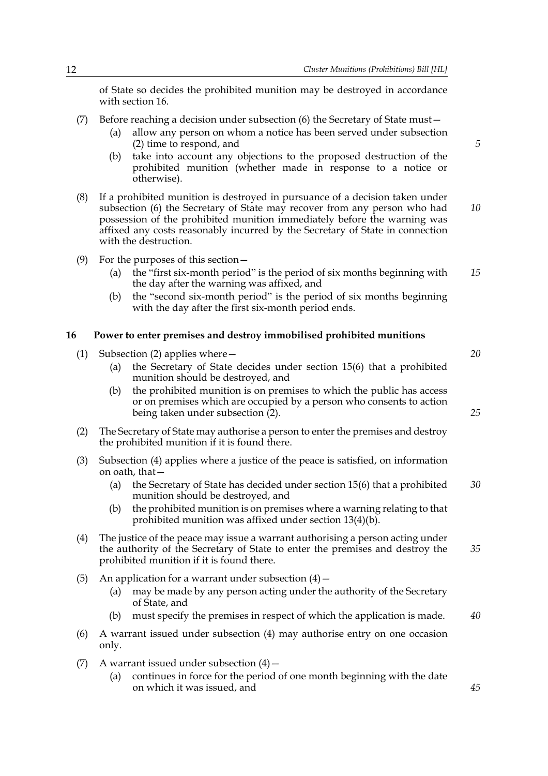of State so decides the prohibited munition may be destroyed in accordance with section 16.

- (7) Before reaching a decision under subsection (6) the Secretary of State must—
	- (a) allow any person on whom a notice has been served under subsection (2) time to respond, and
	- (b) take into account any objections to the proposed destruction of the prohibited munition (whether made in response to a notice or otherwise).
- (8) If a prohibited munition is destroyed in pursuance of a decision taken under subsection (6) the Secretary of State may recover from any person who had possession of the prohibited munition immediately before the warning was affixed any costs reasonably incurred by the Secretary of State in connection with the destruction. *10*
- (9) For the purposes of this section—
	- (a) the "first six-month period" is the period of six months beginning with the day after the warning was affixed, and *15*
	- (b) the "second six-month period" is the period of six months beginning with the day after the first six-month period ends.

#### **16 Power to enter premises and destroy immobilised prohibited munitions**

- (1) Subsection (2) applies where  $-$ 
	- (a) the Secretary of State decides under section 15(6) that a prohibited munition should be destroyed, and
	- (b) the prohibited munition is on premises to which the public has access or on premises which are occupied by a person who consents to action being taken under subsection (2).
- (2) The Secretary of State may authorise a person to enter the premises and destroy the prohibited munition if it is found there.
- (3) Subsection (4) applies where a justice of the peace is satisfied, on information on oath, that—
	- (a) the Secretary of State has decided under section 15(6) that a prohibited munition should be destroyed, and *30*
	- (b) the prohibited munition is on premises where a warning relating to that prohibited munition was affixed under section 13(4)(b).
- (4) The justice of the peace may issue a warrant authorising a person acting under the authority of the Secretary of State to enter the premises and destroy the prohibited munition if it is found there. *35*
- (5) An application for a warrant under subsection  $(4)$  -
	- (a) may be made by any person acting under the authority of the Secretary of State, and
	- (b) must specify the premises in respect of which the application is made. *40*
- (6) A warrant issued under subsection (4) may authorise entry on one occasion only.
- (7) A warrant issued under subsection  $(4)$  -
	- (a) continues in force for the period of one month beginning with the date on which it was issued, and

*20*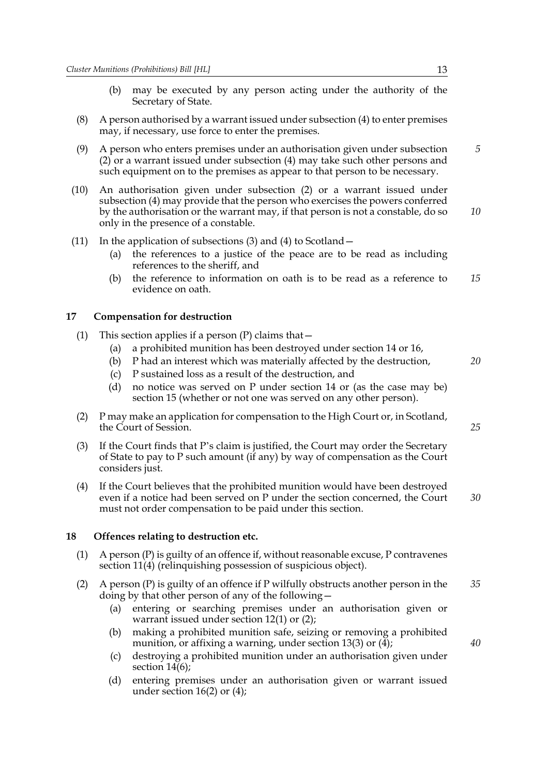- (b) may be executed by any person acting under the authority of the Secretary of State.
- (8) A person authorised by a warrant issued under subsection (4) to enter premises may, if necessary, use force to enter the premises.
- (9) A person who enters premises under an authorisation given under subsection (2) or a warrant issued under subsection (4) may take such other persons and such equipment on to the premises as appear to that person to be necessary. *5*
- (10) An authorisation given under subsection (2) or a warrant issued under subsection (4) may provide that the person who exercises the powers conferred by the authorisation or the warrant may, if that person is not a constable, do so only in the presence of a constable. *10*
- (11) In the application of subsections (3) and (4) to Scotland  $-$ 
	- (a) the references to a justice of the peace are to be read as including references to the sheriff, and
	- (b) the reference to information on oath is to be read as a reference to evidence on oath. *15*

#### **17 Compensation for destruction**

- (1) This section applies if a person  $(P)$  claims that  $-$ 
	- (a) a prohibited munition has been destroyed under section 14 or 16,
	- (b) P had an interest which was materially affected by the destruction,
	- (c) P sustained loss as a result of the destruction, and
	- (d) no notice was served on P under section 14 or (as the case may be) section 15 (whether or not one was served on any other person).
- (2) P may make an application for compensation to the High Court or, in Scotland, the Court of Session.
- (3) If the Court finds that P's claim is justified, the Court may order the Secretary of State to pay to P such amount (if any) by way of compensation as the Court considers just.
- (4) If the Court believes that the prohibited munition would have been destroyed even if a notice had been served on P under the section concerned, the Court must not order compensation to be paid under this section.

#### **18 Offences relating to destruction etc.**

- (1) A person (P) is guilty of an offence if, without reasonable excuse, P contravenes section 11(4) (relinquishing possession of suspicious object).
- (2) A person (P) is guilty of an offence if P wilfully obstructs another person in the doing by that other person of any of the following— *35*
	- (a) entering or searching premises under an authorisation given or warrant issued under section 12(1) or (2);
	- (b) making a prohibited munition safe, seizing or removing a prohibited munition, or affixing a warning, under section 13(3) or (4);
	- (c) destroying a prohibited munition under an authorisation given under section  $14(6)$ ;
	- (d) entering premises under an authorisation given or warrant issued under section 16(2) or (4);

*40*

*20*

*25*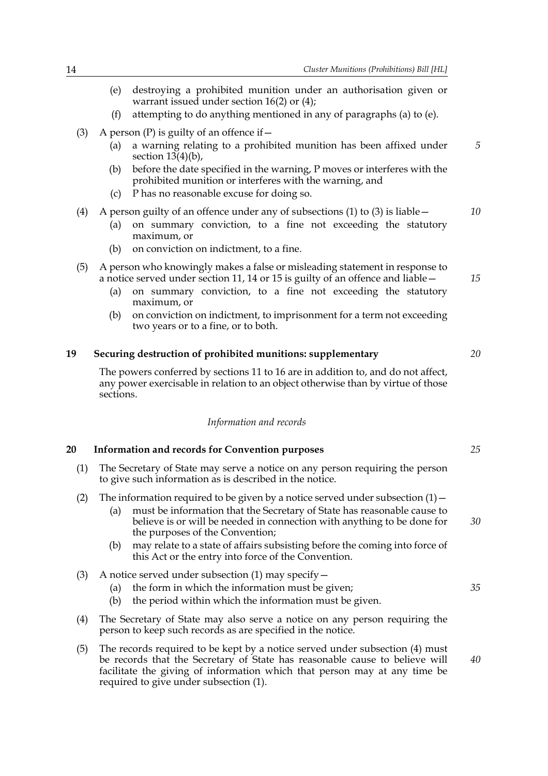- (e) destroying a prohibited munition under an authorisation given or warrant issued under section 16(2) or (4);
- (f) attempting to do anything mentioned in any of paragraphs (a) to (e).
- (3) A person (P) is guilty of an offence if  $-$ 
	- (a) a warning relating to a prohibited munition has been affixed under section  $13(4)(b)$ ,
	- (b) before the date specified in the warning, P moves or interferes with the prohibited munition or interferes with the warning, and
	- (c) P has no reasonable excuse for doing so.

#### (4) A person guilty of an offence under any of subsections (1) to (3) is liable—

- (a) on summary conviction, to a fine not exceeding the statutory maximum, or
- (b) on conviction on indictment, to a fine.
- (5) A person who knowingly makes a false or misleading statement in response to a notice served under section 11, 14 or 15 is guilty of an offence and liable—
	- (a) on summary conviction, to a fine not exceeding the statutory maximum, or
	- (b) on conviction on indictment, to imprisonment for a term not exceeding two years or to a fine, or to both.

#### **19 Securing destruction of prohibited munitions: supplementary**

The powers conferred by sections 11 to 16 are in addition to, and do not affect, any power exercisable in relation to an object otherwise than by virtue of those sections.

#### *Information and records*

#### **20 Information and records for Convention purposes**

- (1) The Secretary of State may serve a notice on any person requiring the person to give such information as is described in the notice.
- (2) The information required to be given by a notice served under subsection  $(1)$ 
	- (a) must be information that the Secretary of State has reasonable cause to believe is or will be needed in connection with anything to be done for the purposes of the Convention;
	- (b) may relate to a state of affairs subsisting before the coming into force of this Act or the entry into force of the Convention.
- (3) A notice served under subsection (1) may specify  $-$ 
	- (a) the form in which the information must be given;
	- (b) the period within which the information must be given.
- (4) The Secretary of State may also serve a notice on any person requiring the person to keep such records as are specified in the notice.
- (5) The records required to be kept by a notice served under subsection (4) must be records that the Secretary of State has reasonable cause to believe will facilitate the giving of information which that person may at any time be required to give under subsection (1).

*10*

*15*

*5*

*20*

*25*

*30*

*35*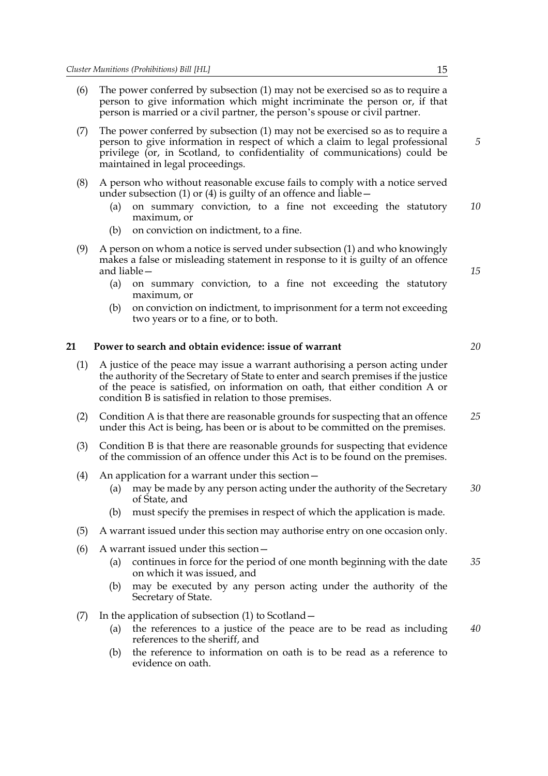- (6) The power conferred by subsection (1) may not be exercised so as to require a person to give information which might incriminate the person or, if that person is married or a civil partner, the person's spouse or civil partner.
- (7) The power conferred by subsection (1) may not be exercised so as to require a person to give information in respect of which a claim to legal professional privilege (or, in Scotland, to confidentiality of communications) could be maintained in legal proceedings.
- (8) A person who without reasonable excuse fails to comply with a notice served under subsection  $(1)$  or  $(4)$  is guilty of an offence and liable –
	- (a) on summary conviction, to a fine not exceeding the statutory maximum, or *10*
	- (b) on conviction on indictment, to a fine.
- (9) A person on whom a notice is served under subsection (1) and who knowingly makes a false or misleading statement in response to it is guilty of an offence and liable—
	- (a) on summary conviction, to a fine not exceeding the statutory maximum, or
	- (b) on conviction on indictment, to imprisonment for a term not exceeding two years or to a fine, or to both.

#### **21 Power to search and obtain evidence: issue of warrant**

- (1) A justice of the peace may issue a warrant authorising a person acting under the authority of the Secretary of State to enter and search premises if the justice of the peace is satisfied, on information on oath, that either condition A or condition B is satisfied in relation to those premises.
- (2) Condition A is that there are reasonable grounds for suspecting that an offence under this Act is being, has been or is about to be committed on the premises. *25*
- (3) Condition B is that there are reasonable grounds for suspecting that evidence of the commission of an offence under this Act is to be found on the premises.
- (4) An application for a warrant under this section—
	- (a) may be made by any person acting under the authority of the Secretary of State, and *30*
	- (b) must specify the premises in respect of which the application is made.
- (5) A warrant issued under this section may authorise entry on one occasion only.
- (6) A warrant issued under this section—
	- (a) continues in force for the period of one month beginning with the date on which it was issued, and *35*
	- (b) may be executed by any person acting under the authority of the Secretary of State.
- (7) In the application of subsection  $(1)$  to Scotland  $-$ 
	- (a) the references to a justice of the peace are to be read as including references to the sheriff, and *40*
	- (b) the reference to information on oath is to be read as a reference to evidence on oath.

*20*

*15*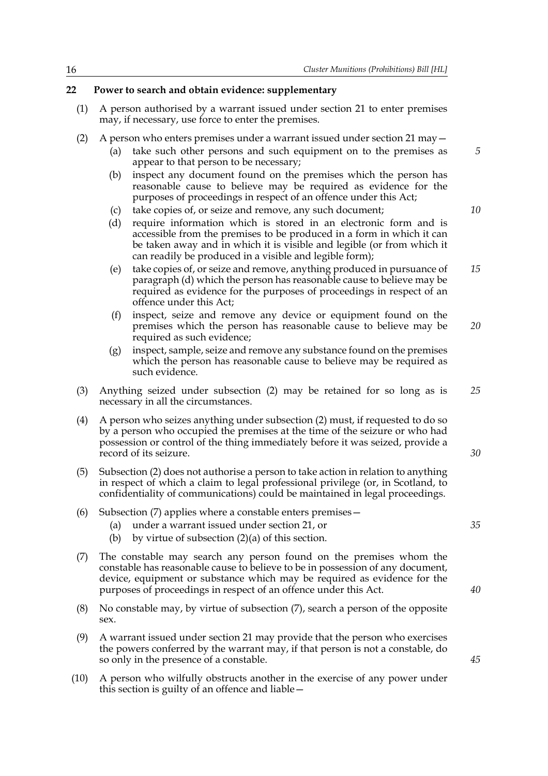#### **22 Power to search and obtain evidence: supplementary**

- (1) A person authorised by a warrant issued under section 21 to enter premises may, if necessary, use force to enter the premises.
- (2) A person who enters premises under a warrant issued under section 21 may  $-$ 
	- (a) take such other persons and such equipment on to the premises as appear to that person to be necessary;
	- (b) inspect any document found on the premises which the person has reasonable cause to believe may be required as evidence for the purposes of proceedings in respect of an offence under this Act;
	- (c) take copies of, or seize and remove, any such document;
	- (d) require information which is stored in an electronic form and is accessible from the premises to be produced in a form in which it can be taken away and in which it is visible and legible (or from which it can readily be produced in a visible and legible form);
	- (e) take copies of, or seize and remove, anything produced in pursuance of paragraph (d) which the person has reasonable cause to believe may be required as evidence for the purposes of proceedings in respect of an offence under this Act; *15*
	- (f) inspect, seize and remove any device or equipment found on the premises which the person has reasonable cause to believe may be required as such evidence;
	- (g) inspect, sample, seize and remove any substance found on the premises which the person has reasonable cause to believe may be required as such evidence.
- (3) Anything seized under subsection (2) may be retained for so long as is necessary in all the circumstances. *25*
- (4) A person who seizes anything under subsection (2) must, if requested to do so by a person who occupied the premises at the time of the seizure or who had possession or control of the thing immediately before it was seized, provide a record of its seizure.
- (5) Subsection (2) does not authorise a person to take action in relation to anything in respect of which a claim to legal professional privilege (or, in Scotland, to confidentiality of communications) could be maintained in legal proceedings.
- (6) Subsection (7) applies where a constable enters premises—
	- (a) under a warrant issued under section 21, or
	- (b) by virtue of subsection (2)(a) of this section.
- (7) The constable may search any person found on the premises whom the constable has reasonable cause to believe to be in possession of any document, device, equipment or substance which may be required as evidence for the purposes of proceedings in respect of an offence under this Act.
- (8) No constable may, by virtue of subsection (7), search a person of the opposite sex.
- (9) A warrant issued under section 21 may provide that the person who exercises the powers conferred by the warrant may, if that person is not a constable, do so only in the presence of a constable.
- (10) A person who wilfully obstructs another in the exercise of any power under this section is guilty of an offence and liable—

*10*

*5*

*20*

*30*

*40*

*45*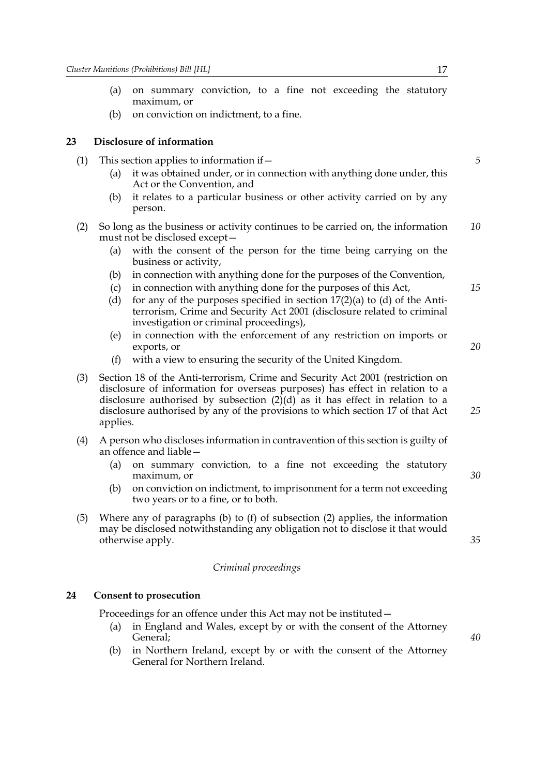- (a) on summary conviction, to a fine not exceeding the statutory maximum, or
- (b) on conviction on indictment, to a fine.

#### **23 Disclosure of information**

- (1) This section applies to information if—
	- (a) it was obtained under, or in connection with anything done under, this Act or the Convention, and
	- (b) it relates to a particular business or other activity carried on by any person.
- (2) So long as the business or activity continues to be carried on, the information must not be disclosed except— *10*
	- (a) with the consent of the person for the time being carrying on the business or activity,
	- (b) in connection with anything done for the purposes of the Convention,
	- (c) in connection with anything done for the purposes of this Act,
	- (d) for any of the purposes specified in section  $17(2)(a)$  to (d) of the Antiterrorism, Crime and Security Act 2001 (disclosure related to criminal investigation or criminal proceedings),
	- (e) in connection with the enforcement of any restriction on imports or exports, or
	- (f) with a view to ensuring the security of the United Kingdom.
- (3) Section 18 of the Anti-terrorism, Crime and Security Act 2001 (restriction on disclosure of information for overseas purposes) has effect in relation to a disclosure authorised by subsection  $(2)(d)$  as it has effect in relation to a disclosure authorised by any of the provisions to which section 17 of that Act applies. *25*
- (4) A person who discloses information in contravention of this section is guilty of an offence and liable—
	- (a) on summary conviction, to a fine not exceeding the statutory maximum, or
	- (b) on conviction on indictment, to imprisonment for a term not exceeding two years or to a fine, or to both.
- (5) Where any of paragraphs (b) to (f) of subsection (2) applies, the information may be disclosed notwithstanding any obligation not to disclose it that would otherwise apply.

#### *Criminal proceedings*

#### **24 Consent to prosecution**

Proceedings for an offence under this Act may not be instituted—

- (a) in England and Wales, except by or with the consent of the Attorney General;
- (b) in Northern Ireland, except by or with the consent of the Attorney General for Northern Ireland.

*35*

*40*

*30*

*5*

*15*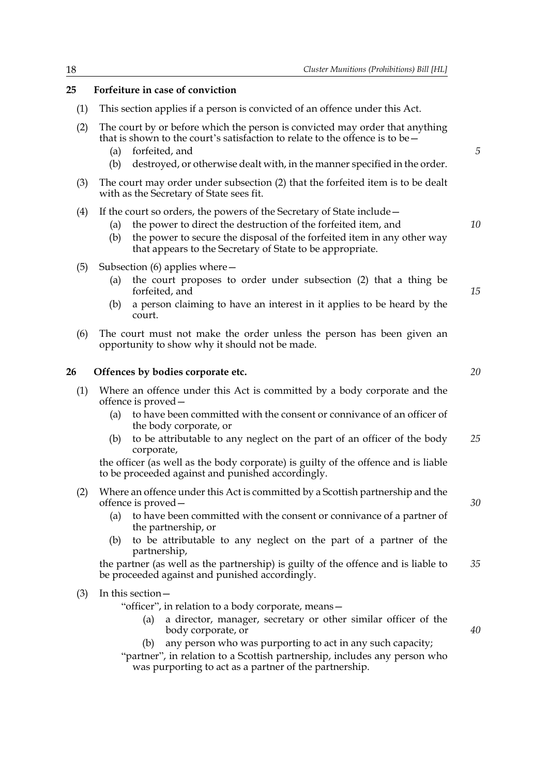#### **25 Forfeiture in case of conviction**

- (1) This section applies if a person is convicted of an offence under this Act.
- (2) The court by or before which the person is convicted may order that anything that is shown to the court's satisfaction to relate to the offence is to be—
	- (a) forfeited, and
	- (b) destroyed, or otherwise dealt with, in the manner specified in the order.
- (3) The court may order under subsection (2) that the forfeited item is to be dealt with as the Secretary of State sees fit.

|  | (4) If the court so orders, the powers of the Secretary of State include $-$ |  |  |
|--|------------------------------------------------------------------------------|--|--|
|  |                                                                              |  |  |

- (a) the power to direct the destruction of the forfeited item, and
- (b) the power to secure the disposal of the forfeited item in any other way that appears to the Secretary of State to be appropriate.
- (5) Subsection (6) applies where—
	- (a) the court proposes to order under subsection (2) that a thing be forfeited, and
	- (b) a person claiming to have an interest in it applies to be heard by the court.
- (6) The court must not make the order unless the person has been given an opportunity to show why it should not be made.

#### **26 Offences by bodies corporate etc.**

- (1) Where an offence under this Act is committed by a body corporate and the offence is proved—
	- (a) to have been committed with the consent or connivance of an officer of the body corporate, or
	- (b) to be attributable to any neglect on the part of an officer of the body corporate, *25*

the officer (as well as the body corporate) is guilty of the offence and is liable to be proceeded against and punished accordingly.

- (2) Where an offence under this Act is committed by a Scottish partnership and the offence is proved—
	- (a) to have been committed with the consent or connivance of a partner of the partnership, or
	- (b) to be attributable to any neglect on the part of a partner of the partnership,

the partner (as well as the partnership) is guilty of the offence and is liable to be proceeded against and punished accordingly. *35*

#### (3) In this section—

"officer", in relation to a body corporate, means—

- (a) a director, manager, secretary or other similar officer of the body corporate, or
- (b) any person who was purporting to act in any such capacity; "partner", in relation to a Scottish partnership, includes any person who

was purporting to act as a partner of the partnership.

*20*

*5*

*10*

*15*

*30*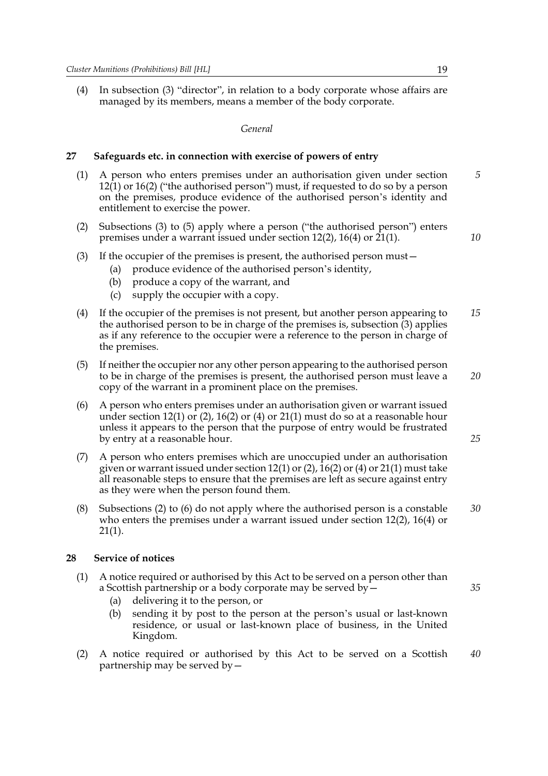(4) In subsection (3) "director", in relation to a body corporate whose affairs are managed by its members, means a member of the body corporate.

#### *General*

#### **27 Safeguards etc. in connection with exercise of powers of entry**

- (1) A person who enters premises under an authorisation given under section 12(1) or 16(2) ("the authorised person") must, if requested to do so by a person on the premises, produce evidence of the authorised person's identity and entitlement to exercise the power.
- (2) Subsections (3) to (5) apply where a person ("the authorised person") enters premises under a warrant issued under section 12(2), 16(4) or 21(1).
- (3) If the occupier of the premises is present, the authorised person must—
	- (a) produce evidence of the authorised person's identity,
	- (b) produce a copy of the warrant, and
	- (c) supply the occupier with a copy.
- (4) If the occupier of the premises is not present, but another person appearing to the authorised person to be in charge of the premises is, subsection (3) applies as if any reference to the occupier were a reference to the person in charge of the premises. *15*
- (5) If neither the occupier nor any other person appearing to the authorised person to be in charge of the premises is present, the authorised person must leave a copy of the warrant in a prominent place on the premises. *20*
- (6) A person who enters premises under an authorisation given or warrant issued under section 12(1) or (2), 16(2) or (4) or 21(1) must do so at a reasonable hour unless it appears to the person that the purpose of entry would be frustrated by entry at a reasonable hour.
- (7) A person who enters premises which are unoccupied under an authorisation given or warrant issued under section  $12(1)$  or  $(2)$ ,  $16(2)$  or  $(4)$  or  $21(1)$  must take all reasonable steps to ensure that the premises are left as secure against entry as they were when the person found them.
- (8) Subsections (2) to (6) do not apply where the authorised person is a constable who enters the premises under a warrant issued under section 12(2), 16(4) or  $21(1)$ . *30*

#### **28 Service of notices**

- (1) A notice required or authorised by this Act to be served on a person other than a Scottish partnership or a body corporate may be served by—
	- (a) delivering it to the person, or
	- (b) sending it by post to the person at the person's usual or last-known residence, or usual or last-known place of business, in the United Kingdom.
- (2) A notice required or authorised by this Act to be served on a Scottish partnership may be served by— *40*

*5*

*10*

*25*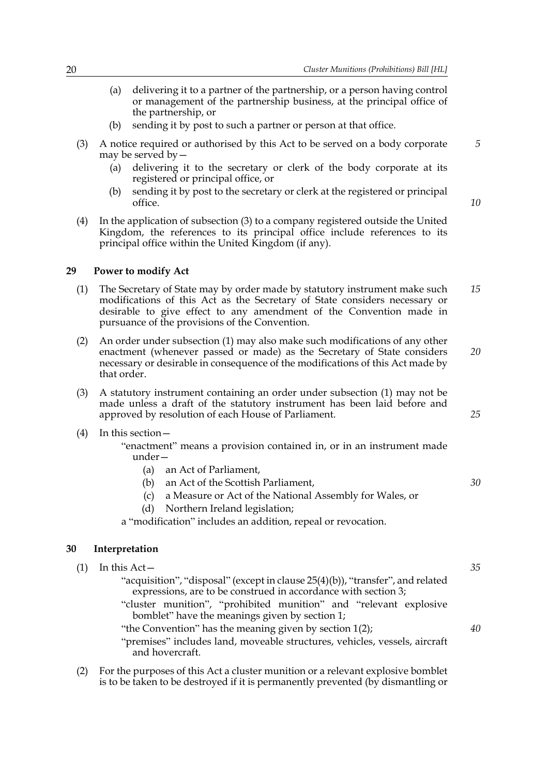- (a) delivering it to a partner of the partnership, or a person having control or management of the partnership business, at the principal office of the partnership, or
- (b) sending it by post to such a partner or person at that office.
- (3) A notice required or authorised by this Act to be served on a body corporate may be served by—
	- (a) delivering it to the secretary or clerk of the body corporate at its registered or principal office, or
	- (b) sending it by post to the secretary or clerk at the registered or principal office.
- (4) In the application of subsection (3) to a company registered outside the United Kingdom, the references to its principal office include references to its principal office within the United Kingdom (if any).

#### **29 Power to modify Act**

- (1) The Secretary of State may by order made by statutory instrument make such modifications of this Act as the Secretary of State considers necessary or desirable to give effect to any amendment of the Convention made in pursuance of the provisions of the Convention. *15*
- (2) An order under subsection (1) may also make such modifications of any other enactment (whenever passed or made) as the Secretary of State considers necessary or desirable in consequence of the modifications of this Act made by that order. *20*
- (3) A statutory instrument containing an order under subsection (1) may not be made unless a draft of the statutory instrument has been laid before and approved by resolution of each House of Parliament.
- (4) In this section—

"enactment" means a provision contained in, or in an instrument made under—

- (a) an Act of Parliament,
- (b) an Act of the Scottish Parliament,
- (c) a Measure or Act of the National Assembly for Wales, or
- (d) Northern Ireland legislation;

a "modification" includes an addition, repeal or revocation.

#### **30 Interpretation**

- $(1)$  In this Act "acquisition", "disposal" (except in clause 25(4)(b)), "transfer", and related expressions, are to be construed in accordance with section 3; "cluster munition", "prohibited munition" and "relevant explosive bomblet" have the meanings given by section 1; "the Convention" has the meaning given by section 1(2); "premises" includes land, moveable structures, vehicles, vessels, aircraft and hovercraft. *40*
	- (2) For the purposes of this Act a cluster munition or a relevant explosive bomblet is to be taken to be destroyed if it is permanently prevented (by dismantling or

*25*

*5*

*10*

*30*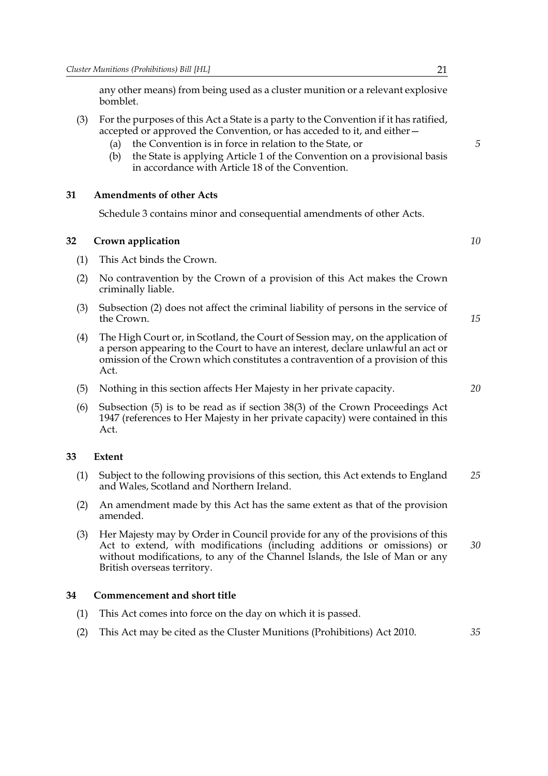any other means) from being used as a cluster munition or a relevant explosive bomblet.

- (3) For the purposes of this Act a State is a party to the Convention if it has ratified, accepted or approved the Convention, or has acceded to it, and either—
	- (a) the Convention is in force in relation to the State, or
	- (b) the State is applying Article 1 of the Convention on a provisional basis in accordance with Article 18 of the Convention.

#### **31 Amendments of other Acts**

Schedule 3 contains minor and consequential amendments of other Acts.

#### **32 Crown application**

- (1) This Act binds the Crown.
- (2) No contravention by the Crown of a provision of this Act makes the Crown criminally liable.
- (3) Subsection (2) does not affect the criminal liability of persons in the service of the Crown.
- (4) The High Court or, in Scotland, the Court of Session may, on the application of a person appearing to the Court to have an interest, declare unlawful an act or omission of the Crown which constitutes a contravention of a provision of this Act.
- (5) Nothing in this section affects Her Majesty in her private capacity.
- (6) Subsection (5) is to be read as if section 38(3) of the Crown Proceedings Act 1947 (references to Her Majesty in her private capacity) were contained in this Act.

#### **33 Extent**

- (1) Subject to the following provisions of this section, this Act extends to England and Wales, Scotland and Northern Ireland. *25*
- (2) An amendment made by this Act has the same extent as that of the provision amended.
- (3) Her Majesty may by Order in Council provide for any of the provisions of this Act to extend, with modifications (including additions or omissions) or without modifications, to any of the Channel Islands, the Isle of Man or any British overseas territory. *30*

#### **34 Commencement and short title**

- (1) This Act comes into force on the day on which it is passed.
- (2) This Act may be cited as the Cluster Munitions (Prohibitions) Act 2010. *35*

*15*

*20*

*10*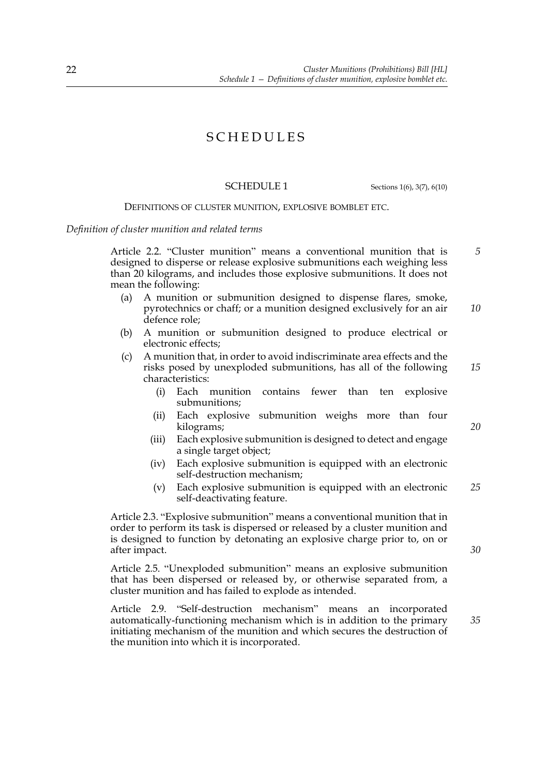### SCHEDULES

**SCHEDULE 1** Sections 1(6), 3(7), 6(10)

#### DEFINITIONS OF CLUSTER MUNITION, EXPLOSIVE BOMBLET ETC.

#### *Definition of cluster munition and related terms*

Article 2.2. "Cluster munition" means a conventional munition that is designed to disperse or release explosive submunitions each weighing less than 20 kilograms, and includes those explosive submunitions. It does not mean the following:

- (a) A munition or submunition designed to dispense flares, smoke, pyrotechnics or chaff; or a munition designed exclusively for an air defence role; *10*
- (b) A munition or submunition designed to produce electrical or electronic effects;
- (c) A munition that, in order to avoid indiscriminate area effects and the risks posed by unexploded submunitions, has all of the following characteristics:
	- (i) Each munition contains fewer than ten explosive submunitions;
	- (ii) Each explosive submunition weighs more than four kilograms;
	- (iii) Each explosive submunition is designed to detect and engage a single target object;
	- (iv) Each explosive submunition is equipped with an electronic self-destruction mechanism;
	- (v) Each explosive submunition is equipped with an electronic self-deactivating feature. *25*

Article 2.3. "Explosive submunition" means a conventional munition that in order to perform its task is dispersed or released by a cluster munition and is designed to function by detonating an explosive charge prior to, on or after impact.

Article 2.5. "Unexploded submunition" means an explosive submunition that has been dispersed or released by, or otherwise separated from, a cluster munition and has failed to explode as intended.

Article 2.9. "Self-destruction mechanism" means an incorporated automatically-functioning mechanism which is in addition to the primary initiating mechanism of the munition and which secures the destruction of the munition into which it is incorporated.

*20*

*15*

*5*

*35*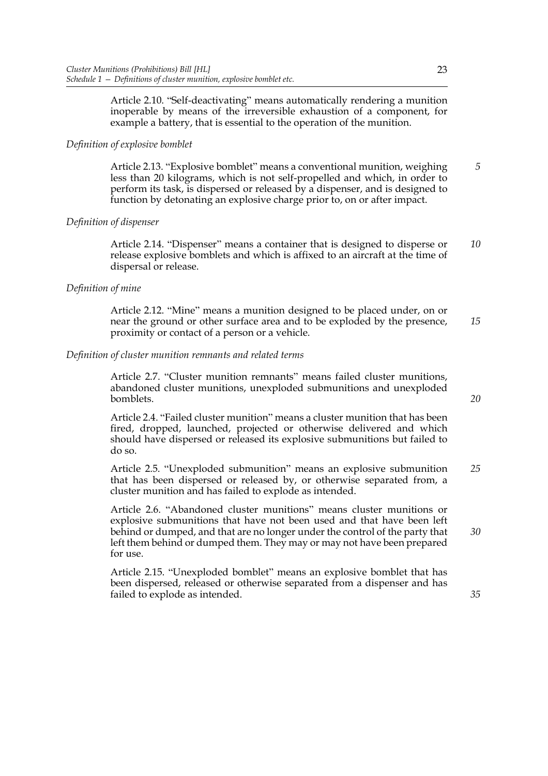Article 2.10. "Self-deactivating" means automatically rendering a munition inoperable by means of the irreversible exhaustion of a component, for example a battery, that is essential to the operation of the munition.

#### *Definition of explosive bomblet*

Article 2.13. "Explosive bomblet" means a conventional munition, weighing less than 20 kilograms, which is not self-propelled and which, in order to perform its task, is dispersed or released by a dispenser, and is designed to function by detonating an explosive charge prior to, on or after impact. *5*

#### *Definition of dispenser*

Article 2.14. "Dispenser" means a container that is designed to disperse or release explosive bomblets and which is affixed to an aircraft at the time of dispersal or release. *10*

#### *Definition of mine*

Article 2.12. "Mine" means a munition designed to be placed under, on or near the ground or other surface area and to be exploded by the presence, proximity or contact of a person or a vehicle. *15*

#### *Definition of cluster munition remnants and related terms*

Article 2.7. "Cluster munition remnants" means failed cluster munitions, abandoned cluster munitions, unexploded submunitions and unexploded bomblets.

Article 2.4. "Failed cluster munition" means a cluster munition that has been fired, dropped, launched, projected or otherwise delivered and which should have dispersed or released its explosive submunitions but failed to do so.

Article 2.5. "Unexploded submunition" means an explosive submunition that has been dispersed or released by, or otherwise separated from, a cluster munition and has failed to explode as intended. *25*

Article 2.6. "Abandoned cluster munitions" means cluster munitions or explosive submunitions that have not been used and that have been left behind or dumped, and that are no longer under the control of the party that left them behind or dumped them. They may or may not have been prepared for use.

Article 2.15. "Unexploded bomblet" means an explosive bomblet that has been dispersed, released or otherwise separated from a dispenser and has failed to explode as intended.

23

*20*

*30*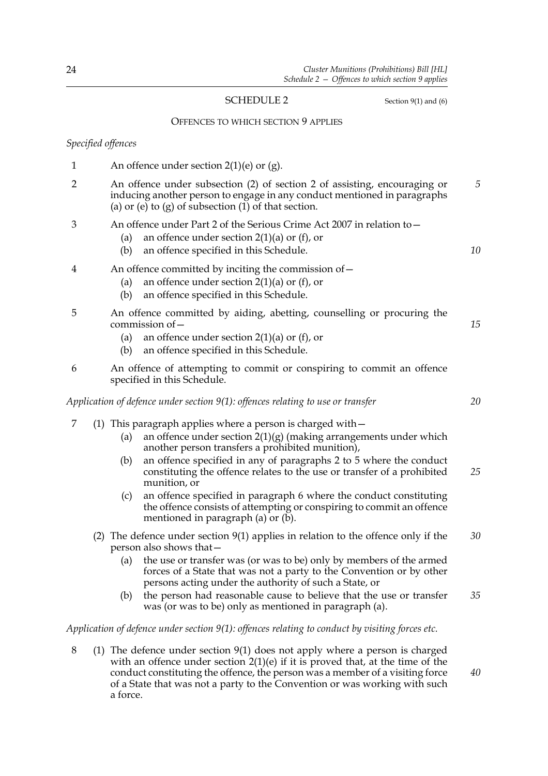#### SCHEDULE 2 Section 9(1) and (6)

#### OFFENCES TO WHICH SECTION 9 APPLIES

*Specified offences*

- 1 An offence under section 2(1)(e) or (g).
- 2 An offence under subsection (2) of section 2 of assisting, encouraging or inducing another person to engage in any conduct mentioned in paragraphs (a) or (e) to (g) of subsection  $(1)$  of that section. *5*
- 3 An offence under Part 2 of the Serious Crime Act 2007 in relation to—
	- (a) an offence under section  $2(1)(a)$  or (f), or
	- (b) an offence specified in this Schedule.
- 4 An offence committed by inciting the commission of—
	- (a) an offence under section  $2(1)(a)$  or (f), or
	- (b) an offence specified in this Schedule.
- 5 An offence committed by aiding, abetting, counselling or procuring the commission of— *15*
	- (a) an offence under section  $2(1)(a)$  or (f), or
	- (b) an offence specified in this Schedule.
- 6 An offence of attempting to commit or conspiring to commit an offence specified in this Schedule.

#### *Application of defence under section 9(1): offences relating to use or transfer*

- 7 (1) This paragraph applies where a person is charged with—
	- (a) an offence under section  $2(1)(g)$  (making arrangements under which another person transfers a prohibited munition),
	- (b) an offence specified in any of paragraphs 2 to 5 where the conduct constituting the offence relates to the use or transfer of a prohibited munition, or *25*
	- (c) an offence specified in paragraph 6 where the conduct constituting the offence consists of attempting or conspiring to commit an offence mentioned in paragraph (a) or (b).
	- (2) The defence under section 9(1) applies in relation to the offence only if the person also shows that— *30*
		- (a) the use or transfer was (or was to be) only by members of the armed forces of a State that was not a party to the Convention or by other persons acting under the authority of such a State, or
		- (b) the person had reasonable cause to believe that the use or transfer was (or was to be) only as mentioned in paragraph (a). *35*

#### *Application of defence under section 9(1): offences relating to conduct by visiting forces etc.*

8 (1) The defence under section 9(1) does not apply where a person is charged with an offence under section 2(1)(e) if it is proved that, at the time of the conduct constituting the offence, the person was a member of a visiting force of a State that was not a party to the Convention or was working with such a force.

*20*

*10*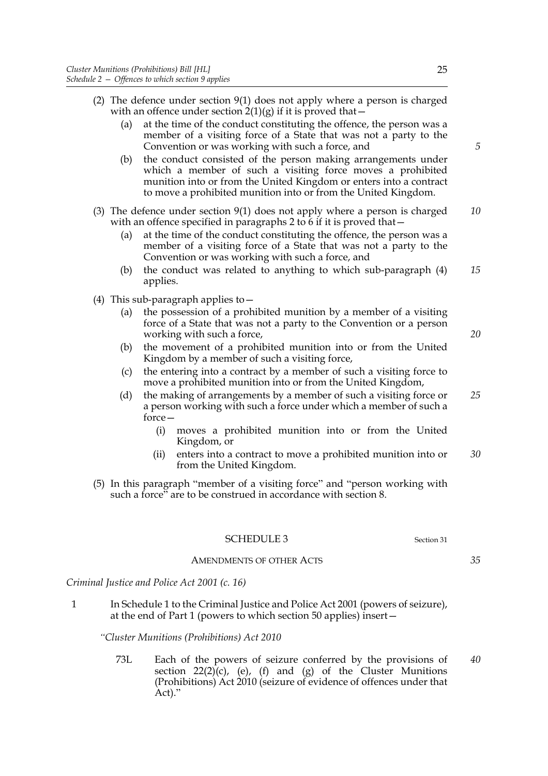- (2) The defence under section 9(1) does not apply where a person is charged with an offence under section  $2(1)(g)$  if it is proved that -
	- (a) at the time of the conduct constituting the offence, the person was a member of a visiting force of a State that was not a party to the Convention or was working with such a force, and
	- (b) the conduct consisted of the person making arrangements under which a member of such a visiting force moves a prohibited munition into or from the United Kingdom or enters into a contract to move a prohibited munition into or from the United Kingdom.
- (3) The defence under section 9(1) does not apply where a person is charged with an offence specified in paragraphs 2 to 6 if it is proved that -*10*
	- (a) at the time of the conduct constituting the offence, the person was a member of a visiting force of a State that was not a party to the Convention or was working with such a force, and
	- (b) the conduct was related to anything to which sub-paragraph (4) applies. *15*
- (4) This sub-paragraph applies to—
	- (a) the possession of a prohibited munition by a member of a visiting force of a State that was not a party to the Convention or a person working with such a force,
	- (b) the movement of a prohibited munition into or from the United Kingdom by a member of such a visiting force,
	- (c) the entering into a contract by a member of such a visiting force to move a prohibited munition into or from the United Kingdom,
	- (d) the making of arrangements by a member of such a visiting force or a person working with such a force under which a member of such a force— *25*
		- (i) moves a prohibited munition into or from the United Kingdom, or
		- (ii) enters into a contract to move a prohibited munition into or from the United Kingdom. *30*
- (5) In this paragraph "member of a visiting force" and "person working with such a force" are to be construed in accordance with section 8.

SCHEDULE 3 Section 31

#### AMENDMENTS OF OTHER ACTS

*Criminal Justice and Police Act 2001 (c. 16)*

1 In Schedule 1 to the Criminal Justice and Police Act 2001 (powers of seizure), at the end of Part 1 (powers to which section 50 applies) insert—

*"Cluster Munitions (Prohibitions) Act 2010*

73L Each of the powers of seizure conferred by the provisions of section  $22(2)(c)$ , (e), (f) and (g) of the Cluster Munitions (Prohibitions) Act 2010 (seizure of evidence of offences under that Act)." *40*

*5*

*20*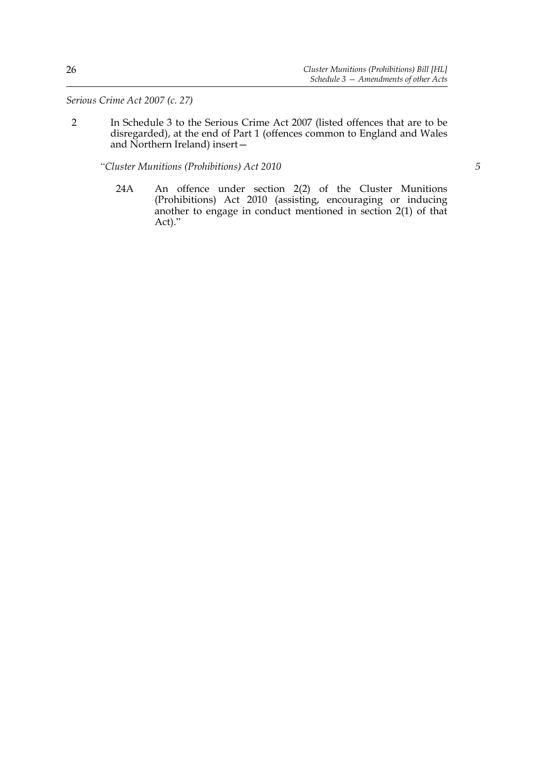*Serious Crime Act 2007 (c. 27)*

2 In Schedule 3 to the Serious Crime Act 2007 (listed offences that are to be disregarded), at the end of Part 1 (offences common to England and Wales and Northern Ireland) insert—

*"Cluster Munitions (Prohibitions) Act 2010*

24A An offence under section 2(2) of the Cluster Munitions (Prohibitions) Act 2010 (assisting, encouraging or inducing another to engage in conduct mentioned in section 2(1) of that Act)."